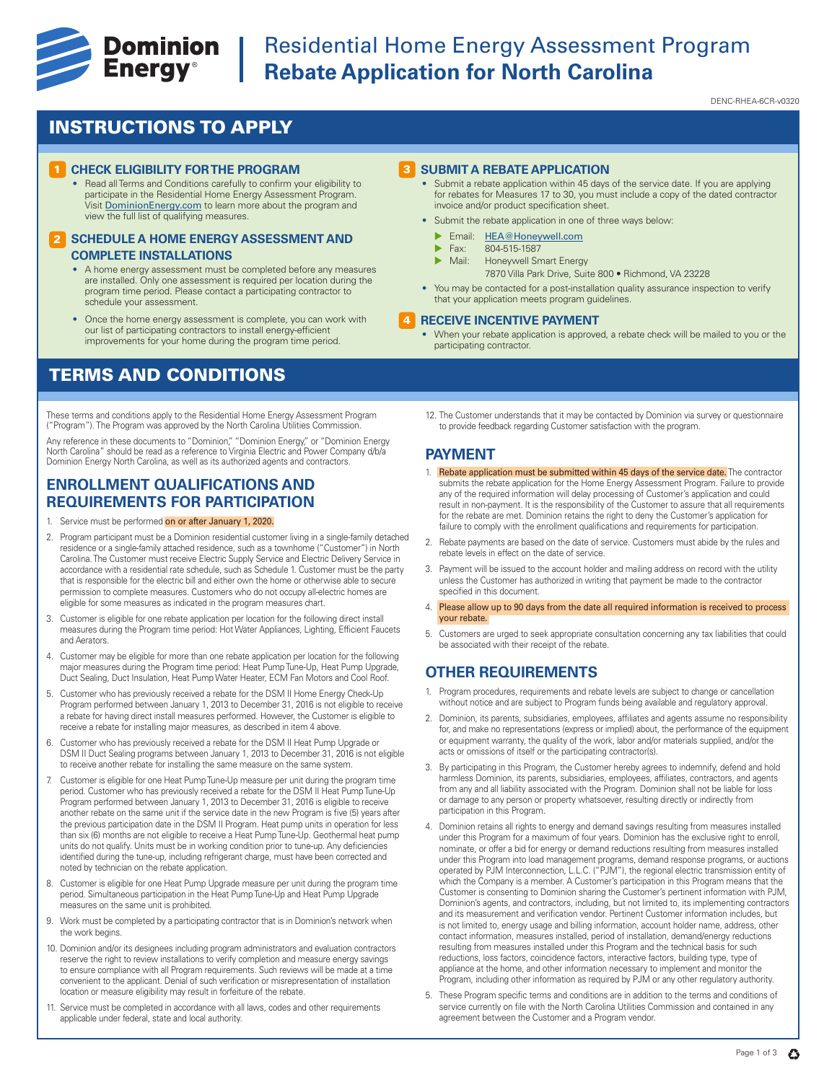

# **Example 19 Dominion** Residential Home Energy Assessment Program<br> **Energy**® Rebate Application for North Carolina **Rebate Application for North Carolina**

DENC-RHEA-6CR-v0320

## INSTRUCTIONS TO APPLY

### **CHECK ELIGIBILITY FOR THE PROGRAM**

• Read all Terms and Conditions carefully to confirm your eligibility to participate in the Residential Home Energy Assessment Program. Visit DominionEnergy.com to learn more about the program and view the full list of qualifying measures.

#### **2 SCHEDULE A HOME ENERGY ASSESSMENT AND COMPLETE INSTALLATIONS**

- A home energy assessment must be completed before any measures are installed. Only one assessment is required per location during the program time period. Please contact a participating contractor to schedule your assessment.
- Once the home energy assessment is complete, you can work with our list of participating contractors to install energy-efficient improvements for your home during the program time period.

## TERMS AND CONDITIONS

These terms and conditions apply to the Residential Home Energy Assessment Program ("Program"). The Program was approved by the North Carolina Utilities Commission.

Any reference in these documents to "Dominion," "Dominion Energy," or "Dominion Energy<br>North Carolina" should be read as a reference to Virginia Electric and Power Company d/b/a Dominion Energy North Carolina, as well as its authorized agents and contractors.

### **ENROLLMENT QUALIFICATIONS AND REQUIREMENTS FOR PARTICIPATION**

- 1. Service must be performed on or after January 1, 2020.
- 2. Program participant must be a Dominion residential customer living in a single-family detached residence or a single-family attached residence, such as a townhome ("Customer") in North Carolina. The Customer must receive Electric Supply Service and Electric Delivery Service in accordance with a residential rate schedule, such as Schedule 1. Customer must be the party that is responsible for the electric bill and either own the home or otherwise able to secure permission to complete measures. Customers who do not occupy all-electric homes are eligible for some measures as indicated in the program measures chart.
- 3. Customer is eligible for one rebate application per location for the following direct install measures during the Program time period: Hot Water Appliances, Lighting, Efficient Faucets and Aerators.
- 4. Customer may be eligible for more than one rebate application per location for the following major measures during the Program time period: Heat Pump Tune-Up, Heat Pump Upgrade, Duct Sealing, Duct Insulation, Heat Pump Water Heater, ECM Fan Motors and Cool Roof.
- 5. Customer who has previously received a rebate for the DSM II Home Energy Check-Up Program performed between January 1, 2013 to December 31, 2016 is not eligible to receive a rebate for having direct install measures performed. However, the Customer is eligible to receive a rebate for installing major measures, as described in item 4 above.
- 6. Customer who has previously received a rebate for the DSM II Heat Pump Upgrade or DSM II Duct Sealing programs between January 1, 2013 to December 31, 2016 is not eligible to receive another rebate for installing the same measure on the same system.
- 7. Customer is eligible for one Heat Pump Tune-Up measure per unit during the program time period. Customer who has previously received a rebate for the DSM II Heat Pump Tune-Up Program performed between January 1, 2013 to December 31, 2016 is eligible to receive another rebate on the same unit if the service date in the new Program is five (5) years after the previous participation date in the DSM II Program. Heat pump units in operation for less than six (6) months are not eligible to receive a Heat Pump Tune-Up. Geothermal heat pump units do not qualify. Units must be in working condition prior to tune-up. Any deficiencies identified during the tune-up, including refrigerant charge, must have been corrected and noted by technician on the rebate application.
- 8. Customer is eligible for one Heat Pump Upgrade measure per unit during the program time period. Simultaneous participation in the Heat Pump Tune-Up and Heat Pump Upgrade measures on the same unit is prohibited.
- 9. Work must be completed by a participating contractor that is in Dominion's network when the work begins.
- 10. Dominion and/or its designees including program administrators and evaluation contractors reserve the right to review installations to verify completion and measure energy savings to ensure compliance with all Program requirements. Such reviews will be made at a time convenient to the applicant. Denial of such verification or misrepresentation of installation location or measure eligibility may result in forfeiture of the rebate.
- 11. Service must be completed in accordance with all laws, codes and other requirements applicable under federal, state and local authority.

#### **3** SUBMIT A REBATE APPLICATION

- Submit a rebate application within 45 days of the service date. If you are applying for rebates for Measures 17 to 30, you must include a copy of the dated contractor invoice and/or product specification sheet.
- Submit the rebate application in one of three ways below:
	- Email: HEA@Honeywell.com
	- $\triangleright$  Fax: 804-515-1587
	- Honeywell Smart Energy
		- 7870 Villa Park Drive, Suite 800 Richmond, VA 23228
- You may be contacted for a post-installation quality assurance inspection to verify that your application meets program guidelines.

#### **RECEIVE INCENTIVE PAYMENT** 4

- When your rebate application is approved, a rebate check will be mailed to you or the participating contractor.
- 12. The Customer understands that it may be contacted by Dominion via survey or questionnaire to provide feedback regarding Customer satisfaction with the program.

### **PAYMENT**

- 1. Rebate application must be submitted within 45 days of the service date. The contractor submits the rebate application for the Home Energy Assessment Program. Failure to provide any of the required information will delay processing of Customer's application and could result in non-payment. It is the responsibility of the Customer to assure that all requirements for the rebate are met. Dominion retains the right to deny the Customer's application for failure to comply with the enrollment qualifications and requirements for participation.
- 2. Rebate payments are based on the date of service. Customers must abide by the rules and rebate levels in effect on the date of service.
- 3. Payment will be issued to the account holder and mailing address on record with the utility unless the Customer has authorized in writing that payment be made to the contractor specified in this document.
- 4. Please allow up to 90 days from the date all required information is received to process your rebate.
- 5. Customers are urged to seek appropriate consultation concerning any tax liabilities that could be associated with their receipt of the rebate.

### **OTHER REQUIREMENTS**

- 1. Program procedures, requirements and rebate levels are subject to change or cancellation without notice and are subject to Program funds being available and regulatory approval.
- 2. Dominion, its parents, subsidiaries, employees, affiliates and agents assume no responsibility for, and make no representations (express or implied) about, the performance of the equipment or equipment warranty, the quality of the work, labor and/or materials supplied, and/or the acts or omissions of itself or the participating contractor(s).
- 3. By participating in this Program, the Customer hereby agrees to indemnify, defend and hold harmless Dominion, its parents, subsidiaries, employees, affiliates, contractors, and agents from any and all liability associated with the Program. Dominion shall not be liable for loss or damage to any person or property whatsoever, resulting directly or indirectly from participation in this Program.
- 4. Dominion retains all rights to energy and demand savings resulting from measures installed under this Program for a maximum of four years. Dominion has the exclusive right to enroll, nominate, or offer a bid for energy or demand reductions resulting from measures installed under this Program into load management programs, demand response programs, or auctions operated by PJM Interconnection, L.L.C. ("PJM"), the regional electric transmission entity of which the Company is a member. A Customer's participation in this Program means that the Customer is consenting to Dominion sharing the Customer's pertinent information with PJM, Dominion's agents, and contractors, including, but not limited to, its implementing contractors and its measurement and verification vendor. Pertinent Customer information includes, but is not limited to, energy usage and billing information, account holder name, address, other contact information, measures installed, period of installation, demand/energy reductions resulting from measures installed under this Program and the technical basis for such reductions, loss factors, coincidence factors, interactive factors, building type, type of appliance at the home, and other information necessary to implement and monitor the Program, including other information as required by PJM or any other regulatory authority.
- 5. These Program specific terms and conditions are in addition to the terms and conditions of service currently on file with the North Carolina Utilities Commission and contained in any agreement between the Customer and a Program vendor.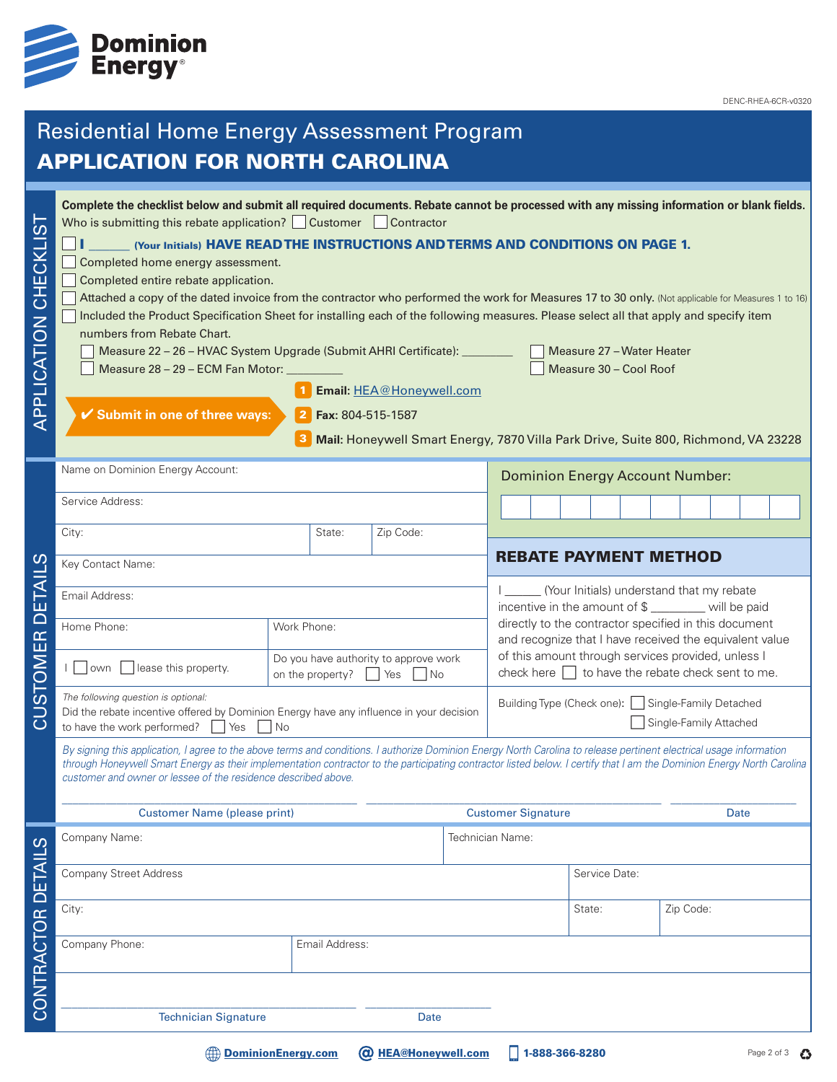

DENC-RHEA-6CR-v0320

## Residential Home Energy Assessment Program A DDI ICATION FOR NORTH CAROL

| .<br>()<br>APPLICATION CHECKLI | Complete the checklist below and submit all required documents. Rebate cannot be processed with any missing information or blank fields.<br>Who is submitting this rebate application? Customer Contractor<br>(Your Initials) HAVE READ THE INSTRUCTIONS AND TERMS AND CONDITIONS ON PAGE 1.<br>Completed home energy assessment.<br>Completed entire rebate application.<br>Attached a copy of the dated invoice from the contractor who performed the work for Measures 17 to 30 only. (Not applicable for Measures 1 to 16)<br>Included the Product Specification Sheet for installing each of the following measures. Please select all that apply and specify item<br>numbers from Rebate Chart.<br>Measure 22 - 26 - HVAC System Upgrade (Submit AHRI Certificate): ________<br>Measure 28 - 29 - ECM Fan Motor:<br>✔ Submit in one of three ways: |                           | Email: HEA@Honeywell.com<br>Fax: 804-515-1587<br>Mail: Honeywell Smart Energy, 7870 Villa Park Drive, Suite 800, Richmond, VA 23228 |                              |                                                                                                                  |                                                                                                              |        |  | Measure 30 - Cool Roof | Measure 27 - Water Heater |           |  |  |
|--------------------------------|----------------------------------------------------------------------------------------------------------------------------------------------------------------------------------------------------------------------------------------------------------------------------------------------------------------------------------------------------------------------------------------------------------------------------------------------------------------------------------------------------------------------------------------------------------------------------------------------------------------------------------------------------------------------------------------------------------------------------------------------------------------------------------------------------------------------------------------------------------|---------------------------|-------------------------------------------------------------------------------------------------------------------------------------|------------------------------|------------------------------------------------------------------------------------------------------------------|--------------------------------------------------------------------------------------------------------------|--------|--|------------------------|---------------------------|-----------|--|--|
|                                | Name on Dominion Energy Account:                                                                                                                                                                                                                                                                                                                                                                                                                                                                                                                                                                                                                                                                                                                                                                                                                         |                           |                                                                                                                                     |                              | <b>Dominion Energy Account Number:</b>                                                                           |                                                                                                              |        |  |                        |                           |           |  |  |
|                                | Service Address:                                                                                                                                                                                                                                                                                                                                                                                                                                                                                                                                                                                                                                                                                                                                                                                                                                         |                           |                                                                                                                                     |                              |                                                                                                                  |                                                                                                              |        |  |                        |                           |           |  |  |
|                                | City:                                                                                                                                                                                                                                                                                                                                                                                                                                                                                                                                                                                                                                                                                                                                                                                                                                                    | State:                    | Zip Code:                                                                                                                           |                              |                                                                                                                  |                                                                                                              |        |  |                        |                           |           |  |  |
| ທ                              | Key Contact Name:                                                                                                                                                                                                                                                                                                                                                                                                                                                                                                                                                                                                                                                                                                                                                                                                                                        |                           |                                                                                                                                     | <b>REBATE PAYMENT METHOD</b> |                                                                                                                  |                                                                                                              |        |  |                        |                           |           |  |  |
| ய                              | Email Address:                                                                                                                                                                                                                                                                                                                                                                                                                                                                                                                                                                                                                                                                                                                                                                                                                                           |                           |                                                                                                                                     |                              |                                                                                                                  | _______ (Your Initials) understand that my rebate<br>incentive in the amount of \$ _______ will be paid      |        |  |                        |                           |           |  |  |
| $\overline{\square}$           | Home Phone:                                                                                                                                                                                                                                                                                                                                                                                                                                                                                                                                                                                                                                                                                                                                                                                                                                              | Work Phone:               |                                                                                                                                     |                              | directly to the contractor specified in this document<br>and recognize that I have received the equivalent value |                                                                                                              |        |  |                        |                           |           |  |  |
| STOMER                         | lease this property.<br>l lown                                                                                                                                                                                                                                                                                                                                                                                                                                                                                                                                                                                                                                                                                                                                                                                                                           | on the property?<br>  Yes | Do you have authority to approve work<br>1 No                                                                                       |                              |                                                                                                                  | of this amount through services provided, unless I<br>check here $\Box$ to have the rebate check sent to me. |        |  |                        |                           |           |  |  |
| Ξ<br>$\overline{\mathcal{C}}$  | The following question is optional:<br>Did the rebate incentive offered by Dominion Energy have any influence in your decision<br>to have the work performed?<br>  Yes<br>l No                                                                                                                                                                                                                                                                                                                                                                                                                                                                                                                                                                                                                                                                           |                           |                                                                                                                                     |                              | Building Type (Check one): Single-Family Detached<br>Single-Family Attached                                      |                                                                                                              |        |  |                        |                           |           |  |  |
|                                | By signing this application, I agree to the above terms and conditions. I authorize Dominion Energy North Carolina to release pertinent electrical usage information<br>through Honeywell Smart Energy as their implementation contractor to the participating contractor listed below. I certify that I am the Dominion Energy North Carolina<br>customer and owner or lessee of the residence described above.                                                                                                                                                                                                                                                                                                                                                                                                                                         |                           |                                                                                                                                     |                              |                                                                                                                  |                                                                                                              |        |  |                        |                           |           |  |  |
|                                | <b>Customer Name (please print)</b>                                                                                                                                                                                                                                                                                                                                                                                                                                                                                                                                                                                                                                                                                                                                                                                                                      |                           |                                                                                                                                     |                              | <b>Customer Signature</b>                                                                                        |                                                                                                              |        |  |                        | Date                      |           |  |  |
|                                | Company Name:                                                                                                                                                                                                                                                                                                                                                                                                                                                                                                                                                                                                                                                                                                                                                                                                                                            |                           |                                                                                                                                     |                              |                                                                                                                  | Technician Name:                                                                                             |        |  |                        |                           |           |  |  |
|                                | <b>Company Street Address</b>                                                                                                                                                                                                                                                                                                                                                                                                                                                                                                                                                                                                                                                                                                                                                                                                                            |                           |                                                                                                                                     |                              | Service Date:                                                                                                    |                                                                                                              |        |  |                        |                           |           |  |  |
|                                | City:                                                                                                                                                                                                                                                                                                                                                                                                                                                                                                                                                                                                                                                                                                                                                                                                                                                    |                           |                                                                                                                                     |                              |                                                                                                                  |                                                                                                              | State: |  |                        |                           | Zip Code: |  |  |
| CONTRACTOR DETAILS             | Company Phone:                                                                                                                                                                                                                                                                                                                                                                                                                                                                                                                                                                                                                                                                                                                                                                                                                                           | Email Address:            |                                                                                                                                     |                              |                                                                                                                  |                                                                                                              |        |  |                        |                           |           |  |  |
|                                |                                                                                                                                                                                                                                                                                                                                                                                                                                                                                                                                                                                                                                                                                                                                                                                                                                                          |                           |                                                                                                                                     |                              |                                                                                                                  |                                                                                                              |        |  |                        |                           |           |  |  |
|                                | <b>Technician Signature</b>                                                                                                                                                                                                                                                                                                                                                                                                                                                                                                                                                                                                                                                                                                                                                                                                                              |                           | Date                                                                                                                                |                              |                                                                                                                  |                                                                                                              |        |  |                        |                           |           |  |  |